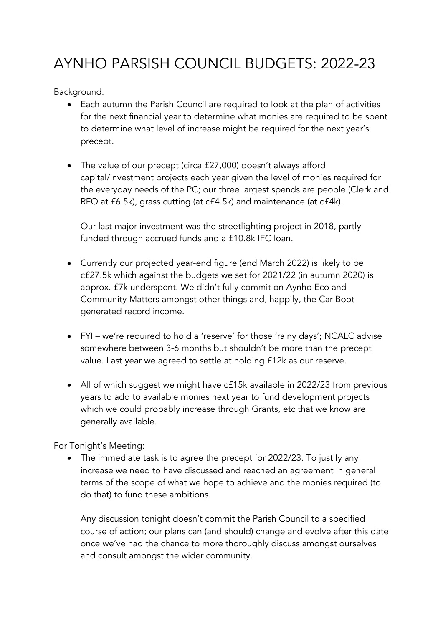## AYNHO PARSISH COUNCIL BUDGETS: 2022-23

Background:

- Each autumn the Parish Council are required to look at the plan of activities for the next financial year to determine what monies are required to be spent to determine what level of increase might be required for the next year's precept.
- The value of our precept (circa £27,000) doesn't always afford capital/investment projects each year given the level of monies required for the everyday needs of the PC; our three largest spends are people (Clerk and RFO at £6.5k), grass cutting (at c£4.5k) and maintenance (at c£4k).

Our last major investment was the streetlighting project in 2018, partly funded through accrued funds and a £10.8k IFC loan.

- Currently our projected year-end figure (end March 2022) is likely to be c£27.5k which against the budgets we set for 2021/22 (in autumn 2020) is approx. £7k underspent. We didn't fully commit on Aynho Eco and Community Matters amongst other things and, happily, the Car Boot generated record income.
- FYI we're required to hold a 'reserve' for those 'rainy days'; NCALC advise somewhere between 3-6 months but shouldn't be more than the precept value. Last year we agreed to settle at holding £12k as our reserve.
- All of which suggest we might have c£15k available in 2022/23 from previous years to add to available monies next year to fund development projects which we could probably increase through Grants, etc that we know are generally available.

For Tonight's Meeting:

• The immediate task is to agree the precept for 2022/23. To justify any increase we need to have discussed and reached an agreement in general terms of the scope of what we hope to achieve and the monies required (to do that) to fund these ambitions.

Any discussion tonight doesn't commit the Parish Council to a specified course of action; our plans can (and should) change and evolve after this date once we've had the chance to more thoroughly discuss amongst ourselves and consult amongst the wider community.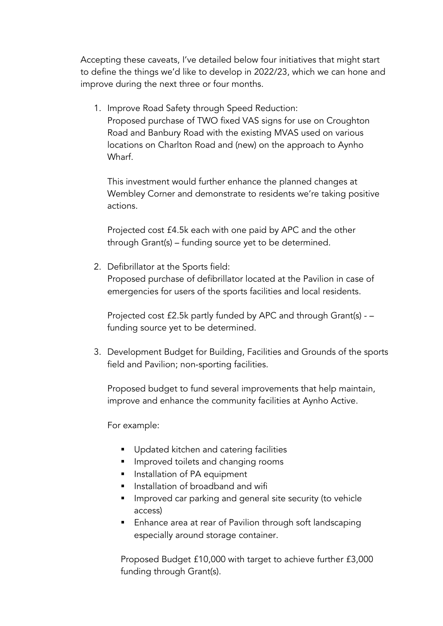Accepting these caveats, I've detailed below four initiatives that might start to define the things we'd like to develop in 2022/23, which we can hone and improve during the next three or four months.

1. Improve Road Safety through Speed Reduction: Proposed purchase of TWO fixed VAS signs for use on Croughton Road and Banbury Road with the existing MVAS used on various locations on Charlton Road and (new) on the approach to Aynho Wharf.

This investment would further enhance the planned changes at Wembley Corner and demonstrate to residents we're taking positive actions.

Projected cost £4.5k each with one paid by APC and the other through Grant(s) – funding source yet to be determined.

2. Defibrillator at the Sports field:

Proposed purchase of defibrillator located at the Pavilion in case of emergencies for users of the sports facilities and local residents.

Projected cost £2.5k partly funded by APC and through Grant(s) - – funding source yet to be determined.

3. Development Budget for Building, Facilities and Grounds of the sports field and Pavilion; non-sporting facilities.

Proposed budget to fund several improvements that help maintain, improve and enhance the community facilities at Aynho Active.

For example:

- Updated kitchen and catering facilities
- **EXTERG** Improved toilets and changing rooms
- **EX Installation of PA equipment**
- **•** Installation of broadband and wifi
- Improved car parking and general site security (to vehicle access)
- Enhance area at rear of Pavilion through soft landscaping especially around storage container.

Proposed Budget £10,000 with target to achieve further £3,000 funding through Grant(s).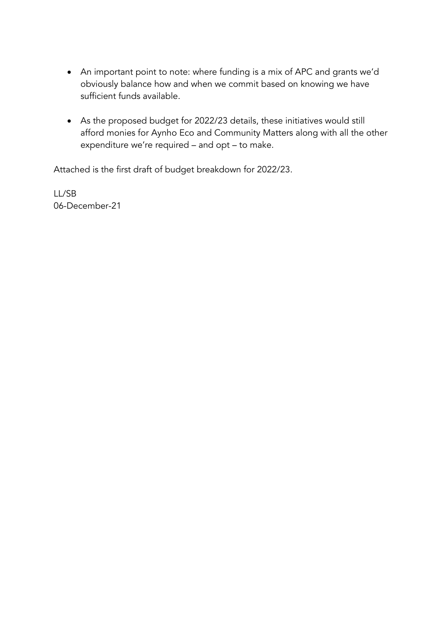- An important point to note: where funding is a mix of APC and grants we'd obviously balance how and when we commit based on knowing we have sufficient funds available.
- As the proposed budget for 2022/23 details, these initiatives would still afford monies for Aynho Eco and Community Matters along with all the other expenditure we're required – and opt – to make.

Attached is the first draft of budget breakdown for 2022/23.

LL/SB 06-December-21